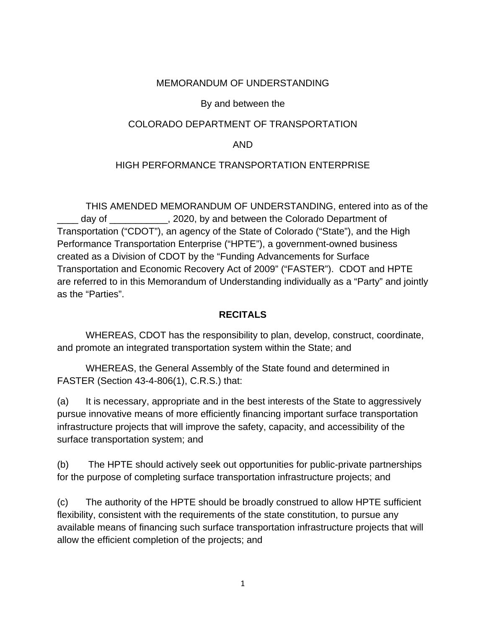#### MEMORANDUM OF UNDERSTANDING

#### By and between the

#### COLORADO DEPARTMENT OF TRANSPORTATION

#### AND

#### HIGH PERFORMANCE TRANSPORTATION ENTERPRISE

THIS AMENDED MEMORANDUM OF UNDERSTANDING, entered into as of the day of  $\sim$  . 2020, by and between the Colorado Department of Transportation ("CDOT"), an agency of the State of Colorado ("State"), and the High Performance Transportation Enterprise ("HPTE"), a government-owned business created as a Division of CDOT by the "Funding Advancements for Surface Transportation and Economic Recovery Act of 2009" ("FASTER"). CDOT and HPTE are referred to in this Memorandum of Understanding individually as a "Party" and jointly as the "Parties".

#### **RECITALS**

WHEREAS, CDOT has the responsibility to plan, develop, construct, coordinate, and promote an integrated transportation system within the State; and

WHEREAS, the General Assembly of the State found and determined in FASTER (Section 43-4-806(1), C.R.S.) that:

(a) It is necessary, appropriate and in the best interests of the State to aggressively pursue innovative means of more efficiently financing important surface transportation infrastructure projects that will improve the safety, capacity, and accessibility of the surface transportation system; and

(b) The HPTE should actively seek out opportunities for public-private partnerships for the purpose of completing surface transportation infrastructure projects; and

(c) The authority of the HPTE should be broadly construed to allow HPTE sufficient flexibility, consistent with the requirements of the state constitution, to pursue any available means of financing such surface transportation infrastructure projects that will allow the efficient completion of the projects; and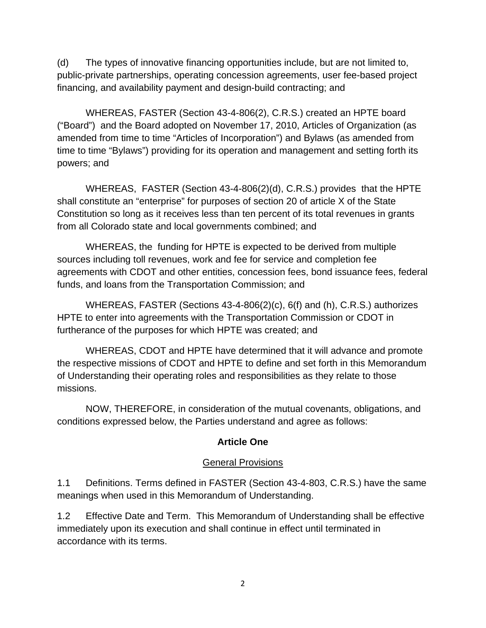(d) The types of innovative financing opportunities include, but are not limited to, public-private partnerships, operating concession agreements, user fee-based project financing, and availability payment and design-build contracting; and

WHEREAS, FASTER (Section 43-4-806(2), C.R.S.) created an HPTE board ("Board") and the Board adopted on November 17, 2010, Articles of Organization (as amended from time to time "Articles of Incorporation") and Bylaws (as amended from time to time "Bylaws") providing for its operation and management and setting forth its powers; and

WHEREAS, FASTER (Section 43-4-806(2)(d), C.R.S.) provides that the HPTE shall constitute an "enterprise" for purposes of section 20 of article X of the State Constitution so long as it receives less than ten percent of its total revenues in grants from all Colorado state and local governments combined; and

WHEREAS, the funding for HPTE is expected to be derived from multiple sources including toll revenues, work and fee for service and completion fee agreements with CDOT and other entities, concession fees, bond issuance fees, federal funds, and loans from the Transportation Commission; and

WHEREAS, FASTER (Sections 43-4-806(2)(c), 6(f) and (h), C.R.S.) authorizes HPTE to enter into agreements with the Transportation Commission or CDOT in furtherance of the purposes for which HPTE was created; and

WHEREAS, CDOT and HPTE have determined that it will advance and promote the respective missions of CDOT and HPTE to define and set forth in this Memorandum of Understanding their operating roles and responsibilities as they relate to those missions.

NOW, THEREFORE, in consideration of the mutual covenants, obligations, and conditions expressed below, the Parties understand and agree as follows:

#### **Article One**

#### General Provisions

1.1 Definitions. Terms defined in FASTER (Section 43-4-803, C.R.S.) have the same meanings when used in this Memorandum of Understanding.

1.2 Effective Date and Term.This Memorandum of Understanding shall be effective immediately upon its execution and shall continue in effect until terminated in accordance with its terms.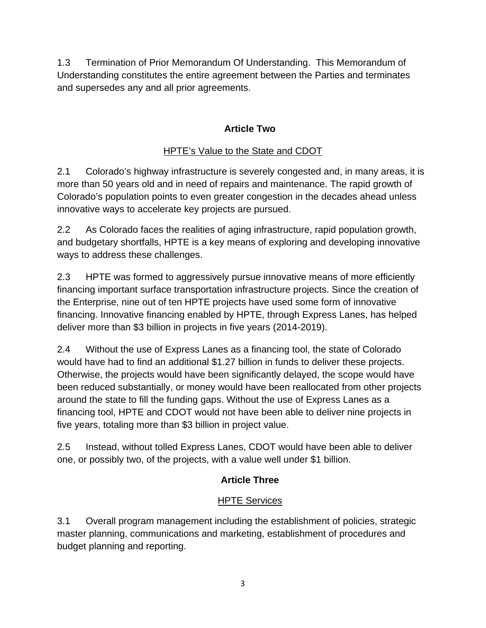1.3 Termination of Prior Memorandum Of Understanding.This Memorandum of Understanding constitutes the entire agreement between the Parties and terminates and supersedes any and all prior agreements.

# **Article Two**

# HPTE's Value to the State and CDOT

2.1 Colorado's highway infrastructure is severely congested and, in many areas, it is more than 50 years old and in need of repairs and maintenance. The rapid growth of Colorado's population points to even greater congestion in the decades ahead unless innovative ways to accelerate key projects are pursued.

2.2 As Colorado faces the realities of aging infrastructure, rapid population growth, and budgetary shortfalls, HPTE is a key means of exploring and developing innovative ways to address these challenges.

2.3 HPTE was formed to aggressively pursue innovative means of more efficiently financing important surface transportation infrastructure projects. Since the creation of the Enterprise, nine out of ten HPTE projects have used some form of innovative financing. Innovative financing enabled by HPTE, through Express Lanes, has helped deliver more than \$3 billion in projects in five years (2014-2019).

2.4 Without the use of Express Lanes as a financing tool, the state of Colorado would have had to find an additional \$1.27 billion in funds to deliver these projects. Otherwise, the projects would have been significantly delayed, the scope would have been reduced substantially, or money would have been reallocated from other projects around the state to fill the funding gaps. Without the use of Express Lanes as a financing tool, HPTE and CDOT would not have been able to deliver nine projects in five years, totaling more than \$3 billion in project value.

2.5 Instead, without tolled Express Lanes, CDOT would have been able to deliver one, or possibly two, of the projects, with a value well under \$1 billion.

# **Article Three**

## HPTE Services

3.1 Overall program management including the establishment of policies, strategic master planning, communications and marketing, establishment of procedures and budget planning and reporting.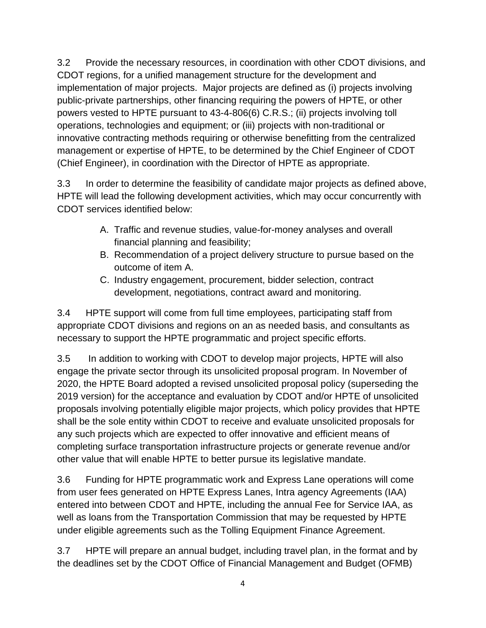3.2 Provide the necessary resources, in coordination with other CDOT divisions, and CDOT regions, for a unified management structure for the development and implementation of major projects. Major projects are defined as (i) projects involving public-private partnerships, other financing requiring the powers of HPTE, or other powers vested to HPTE pursuant to 43-4-806(6) C.R.S.; (ii) projects involving toll operations, technologies and equipment; or (iii) projects with non-traditional or innovative contracting methods requiring or otherwise benefitting from the centralized management or expertise of HPTE, to be determined by the Chief Engineer of CDOT (Chief Engineer), in coordination with the Director of HPTE as appropriate.

3.3 In order to determine the feasibility of candidate major projects as defined above, HPTE will lead the following development activities, which may occur concurrently with CDOT services identified below:

- A. Traffic and revenue studies, value-for-money analyses and overall financial planning and feasibility;
- B. Recommendation of a project delivery structure to pursue based on the outcome of item A.
- C. Industry engagement, procurement, bidder selection, contract development, negotiations, contract award and monitoring.

3.4 HPTE support will come from full time employees, participating staff from appropriate CDOT divisions and regions on an as needed basis, and consultants as necessary to support the HPTE programmatic and project specific efforts.

3.5 In addition to working with CDOT to develop major projects, HPTE will also engage the private sector through its unsolicited proposal program. In November of 2020, the HPTE Board adopted a revised unsolicited proposal policy (superseding the 2019 version) for the acceptance and evaluation by CDOT and/or HPTE of unsolicited proposals involving potentially eligible major projects, which policy provides that HPTE shall be the sole entity within CDOT to receive and evaluate unsolicited proposals for any such projects which are expected to offer innovative and efficient means of completing surface transportation infrastructure projects or generate revenue and/or other value that will enable HPTE to better pursue its legislative mandate.

3.6 Funding for HPTE programmatic work and Express Lane operations will come from user fees generated on HPTE Express Lanes, Intra agency Agreements (IAA) entered into between CDOT and HPTE, including the annual Fee for Service IAA, as well as loans from the Transportation Commission that may be requested by HPTE under eligible agreements such as the Tolling Equipment Finance Agreement.

3.7 HPTE will prepare an annual budget, including travel plan, in the format and by the deadlines set by the CDOT Office of Financial Management and Budget (OFMB)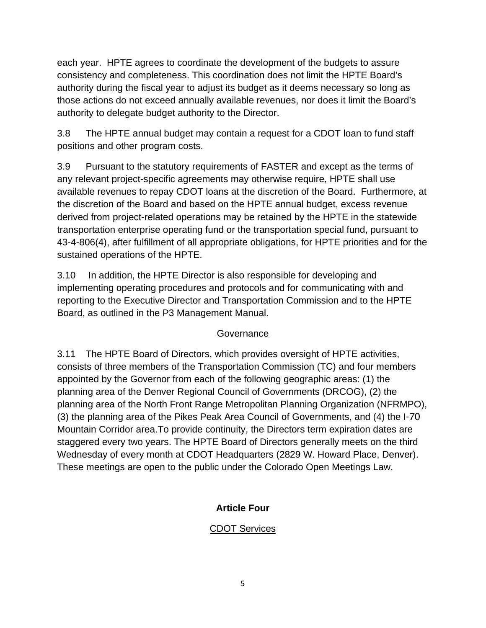each year. HPTE agrees to coordinate the development of the budgets to assure consistency and completeness. This coordination does not limit the HPTE Board's authority during the fiscal year to adjust its budget as it deems necessary so long as those actions do not exceed annually available revenues, nor does it limit the Board's authority to delegate budget authority to the Director.

3.8 The HPTE annual budget may contain a request for a CDOT loan to fund staff positions and other program costs.

3.9 Pursuant to the statutory requirements of FASTER and except as the terms of any relevant project-specific agreements may otherwise require, HPTE shall use available revenues to repay CDOT loans at the discretion of the Board. Furthermore, at the discretion of the Board and based on the HPTE annual budget, excess revenue derived from project-related operations may be retained by the HPTE in the statewide transportation enterprise operating fund or the transportation special fund, pursuant to 43-4-806(4), after fulfillment of all appropriate obligations, for HPTE priorities and for the sustained operations of the HPTE.

3.10 In addition, the HPTE Director is also responsible for developing and implementing operating procedures and protocols and for communicating with and reporting to the Executive Director and Transportation Commission and to the HPTE Board, as outlined in the P3 Management Manual.

## **Governance**

3.11 The HPTE Board of Directors, which provides oversight of HPTE activities, consists of three members of the Transportation Commission (TC) and four members appointed by the Governor from each of the following geographic areas: (1) the planning area of the Denver Regional Council of Governments (DRCOG), (2) the planning area of the North Front Range Metropolitan Planning Organization (NFRMPO), (3) the planning area of the Pikes Peak Area Council of Governments, and (4) the I‑70 Mountain Corridor area.To provide continuity, the Directors term expiration dates are staggered every two years. The HPTE Board of Directors generally meets on the third Wednesday of every month at CDOT Headquarters (2829 W. Howard Place, Denver). These meetings are open to the public under the Colorado Open Meetings Law.

# **Article Four**

## CDOT Services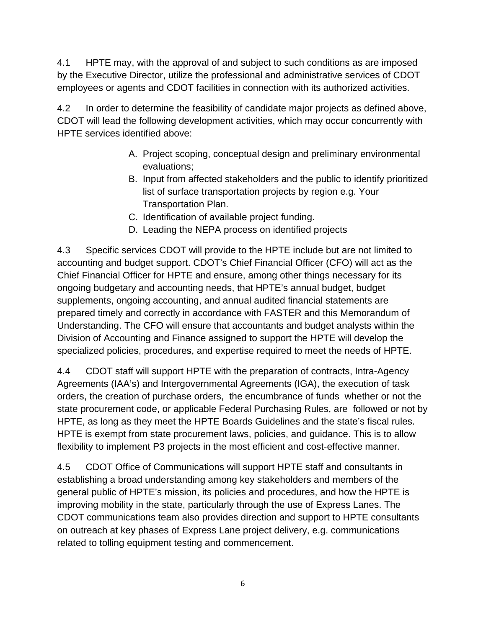4.1 HPTE may, with the approval of and subject to such conditions as are imposed by the Executive Director, utilize the professional and administrative services of CDOT employees or agents and CDOT facilities in connection with its authorized activities.

4.2 In order to determine the feasibility of candidate major projects as defined above, CDOT will lead the following development activities, which may occur concurrently with HPTE services identified above:

- A. Project scoping, conceptual design and preliminary environmental evaluations;
- B. Input from affected stakeholders and the public to identify prioritized list of surface transportation projects by region e.g. Your Transportation Plan.
- C. Identification of available project funding.
- D. Leading the NEPA process on identified projects

4.3 Specific services CDOT will provide to the HPTE include but are not limited to accounting and budget support. CDOT's Chief Financial Officer (CFO) will act as the Chief Financial Officer for HPTE and ensure, among other things necessary for its ongoing budgetary and accounting needs, that HPTE's annual budget, budget supplements, ongoing accounting, and annual audited financial statements are prepared timely and correctly in accordance with FASTER and this Memorandum of Understanding. The CFO will ensure that accountants and budget analysts within the Division of Accounting and Finance assigned to support the HPTE will develop the specialized policies, procedures, and expertise required to meet the needs of HPTE.

4.4 CDOT staff will support HPTE with the preparation of contracts, Intra-Agency Agreements (IAA's) and Intergovernmental Agreements (IGA), the execution of task orders, the creation of purchase orders, the encumbrance of funds whether or not the state procurement code, or applicable Federal Purchasing Rules, are followed or not by HPTE, as long as they meet the HPTE Boards Guidelines and the state's fiscal rules. HPTE is exempt from state procurement laws, policies, and guidance. This is to allow flexibility to implement P3 projects in the most efficient and cost-effective manner.

4.5 CDOT Office of Communications will support HPTE staff and consultants in establishing a broad understanding among key stakeholders and members of the general public of HPTE's mission, its policies and procedures, and how the HPTE is improving mobility in the state, particularly through the use of Express Lanes. The CDOT communications team also provides direction and support to HPTE consultants on outreach at key phases of Express Lane project delivery, e.g. communications related to tolling equipment testing and commencement.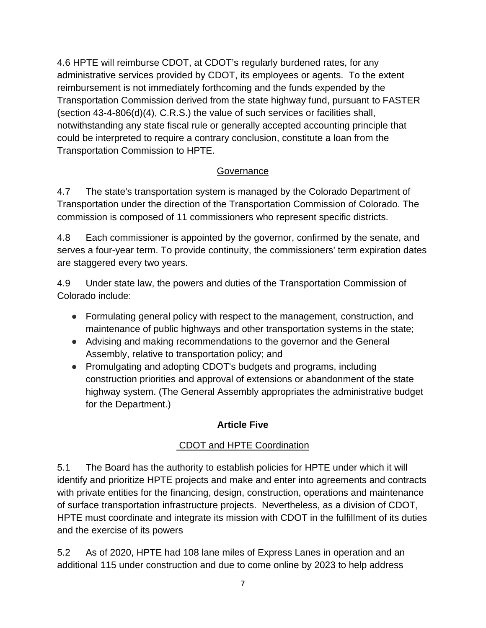4.6 HPTE will reimburse CDOT, at CDOT's regularly burdened rates, for any administrative services provided by CDOT, its employees or agents. To the extent reimbursement is not immediately forthcoming and the funds expended by the Transportation Commission derived from the state highway fund, pursuant to FASTER (section 43-4-806(d)(4), C.R.S.) the value of such services or facilities shall, notwithstanding any state fiscal rule or generally accepted accounting principle that could be interpreted to require a contrary conclusion, constitute a loan from the Transportation Commission to HPTE.

#### **Governance**

4.7 The state's transportation system is managed by the Colorado Department of Transportation under the direction of the Transportation Commission of Colorado. The commission is composed of 11 commissioners who represent specific districts.

4.8 Each commissioner is appointed by the governor, confirmed by the senate, and serves a four-year term. To provide continuity, the commissioners' term expiration dates are staggered every two years.

4.9 Under state law, the powers and duties of the Transportation Commission of Colorado include:

- Formulating general policy with respect to the management, construction, and maintenance of public highways and other transportation systems in the state;
- Advising and making recommendations to the governor and the General Assembly, relative to transportation policy; and
- Promulgating and adopting CDOT's budgets and programs, including construction priorities and approval of extensions or abandonment of the state highway system. (The General Assembly appropriates the administrative budget for the Department.)

## **Article Five**

## CDOT and HPTE Coordination

5.1 The Board has the authority to establish policies for HPTE under which it will identify and prioritize HPTE projects and make and enter into agreements and contracts with private entities for the financing, design, construction, operations and maintenance of surface transportation infrastructure projects. Nevertheless, as a division of CDOT, HPTE must coordinate and integrate its mission with CDOT in the fulfillment of its duties and the exercise of its powers

5.2 As of 2020, HPTE had 108 lane miles of Express Lanes in operation and an additional 115 under construction and due to come online by 2023 to help address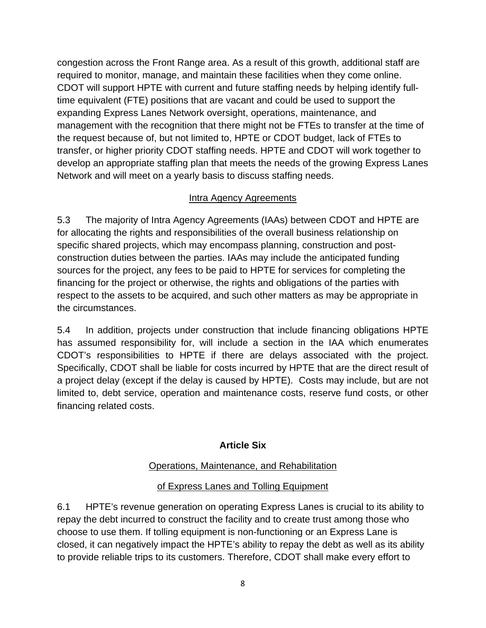congestion across the Front Range area. As a result of this growth, additional staff are required to monitor, manage, and maintain these facilities when they come online. CDOT will support HPTE with current and future staffing needs by helping identify fulltime equivalent (FTE) positions that are vacant and could be used to support the expanding Express Lanes Network oversight, operations, maintenance, and management with the recognition that there might not be FTEs to transfer at the time of the request because of, but not limited to, HPTE or CDOT budget, lack of FTEs to transfer, or higher priority CDOT staffing needs. HPTE and CDOT will work together to develop an appropriate staffing plan that meets the needs of the growing Express Lanes Network and will meet on a yearly basis to discuss staffing needs.

#### Intra Agency Agreements

5.3 The majority of Intra Agency Agreements (IAAs) between CDOT and HPTE are for allocating the rights and responsibilities of the overall business relationship on specific shared projects, which may encompass planning, construction and postconstruction duties between the parties. IAAs may include the anticipated funding sources for the project, any fees to be paid to HPTE for services for completing the financing for the project or otherwise, the rights and obligations of the parties with respect to the assets to be acquired, and such other matters as may be appropriate in the circumstances.

5.4 In addition, projects under construction that include financing obligations HPTE has assumed responsibility for, will include a section in the IAA which enumerates CDOT's responsibilities to HPTE if there are delays associated with the project. Specifically, CDOT shall be liable for costs incurred by HPTE that are the direct result of a project delay (except if the delay is caused by HPTE). Costs may include, but are not limited to, debt service, operation and maintenance costs, reserve fund costs, or other financing related costs.

#### **Article Six**

## Operations, Maintenance, and Rehabilitation

## of Express Lanes and Tolling Equipment

6.1 HPTE's revenue generation on operating Express Lanes is crucial to its ability to repay the debt incurred to construct the facility and to create trust among those who choose to use them. If tolling equipment is non-functioning or an Express Lane is closed, it can negatively impact the HPTE's ability to repay the debt as well as its ability to provide reliable trips to its customers. Therefore, CDOT shall make every effort to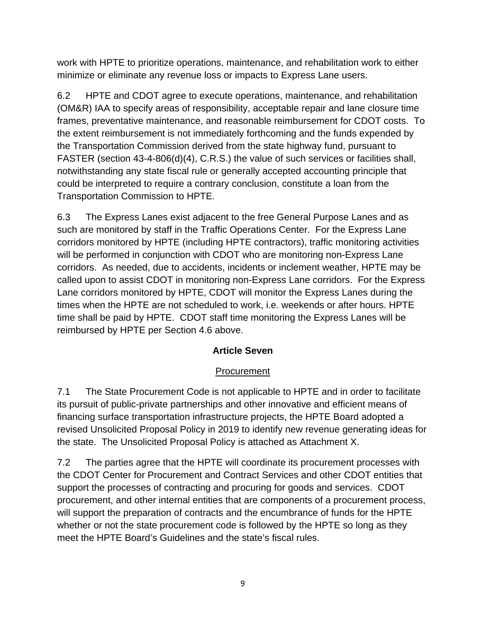work with HPTE to prioritize operations, maintenance, and rehabilitation work to either minimize or eliminate any revenue loss or impacts to Express Lane users.

6.2 HPTE and CDOT agree to execute operations, maintenance, and rehabilitation (OM&R) IAA to specify areas of responsibility, acceptable repair and lane closure time frames, preventative maintenance, and reasonable reimbursement for CDOT costs. To the extent reimbursement is not immediately forthcoming and the funds expended by the Transportation Commission derived from the state highway fund, pursuant to FASTER (section 43-4-806(d)(4), C.R.S.) the value of such services or facilities shall, notwithstanding any state fiscal rule or generally accepted accounting principle that could be interpreted to require a contrary conclusion, constitute a loan from the Transportation Commission to HPTE.

6.3 The Express Lanes exist adjacent to the free General Purpose Lanes and as such are monitored by staff in the Traffic Operations Center. For the Express Lane corridors monitored by HPTE (including HPTE contractors), traffic monitoring activities will be performed in conjunction with CDOT who are monitoring non-Express Lane corridors. As needed, due to accidents, incidents or inclement weather, HPTE may be called upon to assist CDOT in monitoring non-Express Lane corridors. For the Express Lane corridors monitored by HPTE, CDOT will monitor the Express Lanes during the times when the HPTE are not scheduled to work, i.e. weekends or after hours. HPTE time shall be paid by HPTE. CDOT staff time monitoring the Express Lanes will be reimbursed by HPTE per Section 4.6 above.

## **Article Seven**

## Procurement

7.1 The State Procurement Code is not applicable to HPTE and in order to facilitate its pursuit of public-private partnerships and other innovative and efficient means of financing surface transportation infrastructure projects, the HPTE Board adopted a revised Unsolicited Proposal Policy in 2019 to identify new revenue generating ideas for the state. The Unsolicited Proposal Policy is attached as Attachment X.

7.2 The parties agree that the HPTE will coordinate its procurement processes with the CDOT Center for Procurement and Contract Services and other CDOT entities that support the processes of contracting and procuring for goods and services. CDOT procurement, and other internal entities that are components of a procurement process, will support the preparation of contracts and the encumbrance of funds for the HPTE whether or not the state procurement code is followed by the HPTE so long as they meet the HPTE Board's Guidelines and the state's fiscal rules.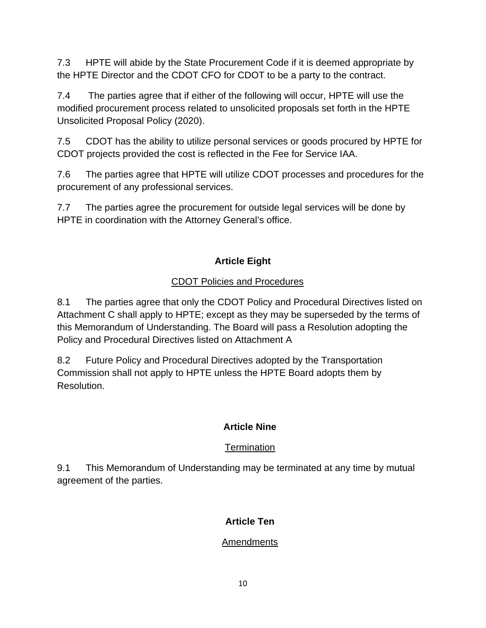7.3 HPTE will abide by the State Procurement Code if it is deemed appropriate by the HPTE Director and the CDOT CFO for CDOT to be a party to the contract.

7.4 The parties agree that if either of the following will occur, HPTE will use the modified procurement process related to unsolicited proposals set forth in the HPTE Unsolicited Proposal Policy (2020).

7.5 CDOT has the ability to utilize personal services or goods procured by HPTE for CDOT projects provided the cost is reflected in the Fee for Service IAA.

7.6 The parties agree that HPTE will utilize CDOT processes and procedures for the procurement of any professional services.

7.7 The parties agree the procurement for outside legal services will be done by HPTE in coordination with the Attorney General's office.

# **Article Eight**

## CDOT Policies and Procedures

8.1 The parties agree that only the CDOT Policy and Procedural Directives listed on Attachment C shall apply to HPTE; except as they may be superseded by the terms of this Memorandum of Understanding. The Board will pass a Resolution adopting the Policy and Procedural Directives listed on Attachment A

8.2 Future Policy and Procedural Directives adopted by the Transportation Commission shall not apply to HPTE unless the HPTE Board adopts them by Resolution.

## **Article Nine**

## **Termination**

9.1 This Memorandum of Understanding may be terminated at any time by mutual agreement of the parties.

## **Article Ten**

## Amendments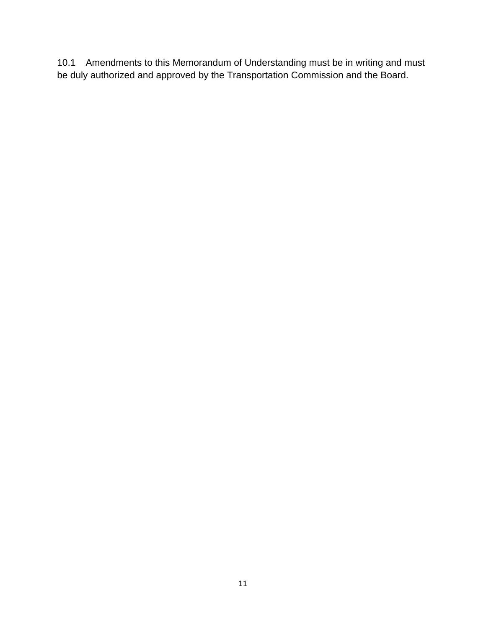10.1 Amendments to this Memorandum of Understanding must be in writing and must be duly authorized and approved by the Transportation Commission and the Board.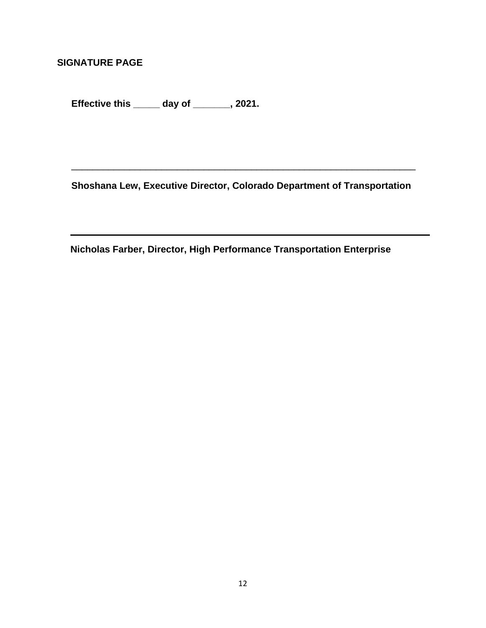**SIGNATURE PAGE**

**Effective this \_\_\_\_\_ day of \_\_\_\_\_\_\_, 2021.**

**Shoshana Lew, Executive Director, Colorado Department of Transportation**

\_\_\_\_\_\_\_\_\_\_\_\_\_\_\_\_\_\_\_\_\_\_\_\_\_\_\_\_\_\_\_\_\_\_\_\_\_\_\_\_\_\_\_\_\_\_\_\_\_\_\_\_\_\_\_\_\_\_\_\_\_\_\_\_\_

 **Nicholas Farber, Director, High Performance Transportation Enterprise**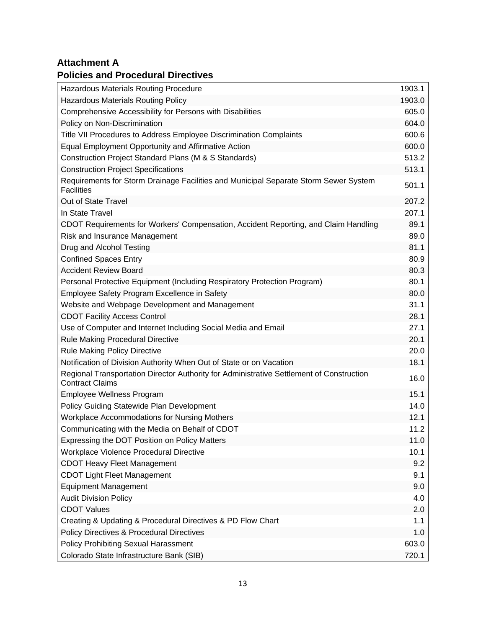## **Attachment A**

#### **Policies and Procedural Directives**

| <b>Hazardous Materials Routing Procedure</b>                                                                       | 1903.1 |
|--------------------------------------------------------------------------------------------------------------------|--------|
| <b>Hazardous Materials Routing Policy</b>                                                                          | 1903.0 |
| Comprehensive Accessibility for Persons with Disabilities                                                          | 605.0  |
| Policy on Non-Discrimination                                                                                       | 604.0  |
| Title VII Procedures to Address Employee Discrimination Complaints                                                 | 600.6  |
| Equal Employment Opportunity and Affirmative Action                                                                | 600.0  |
| Construction Project Standard Plans (M & S Standards)                                                              | 513.2  |
| <b>Construction Project Specifications</b>                                                                         | 513.1  |
| Requirements for Storm Drainage Facilities and Municipal Separate Storm Sewer System<br><b>Facilities</b>          | 501.1  |
| Out of State Travel                                                                                                | 207.2  |
| In State Travel                                                                                                    | 207.1  |
| CDOT Requirements for Workers' Compensation, Accident Reporting, and Claim Handling                                | 89.1   |
| Risk and Insurance Management                                                                                      | 89.0   |
| Drug and Alcohol Testing                                                                                           | 81.1   |
| <b>Confined Spaces Entry</b>                                                                                       | 80.9   |
| <b>Accident Review Board</b>                                                                                       | 80.3   |
| Personal Protective Equipment (Including Respiratory Protection Program)                                           | 80.1   |
| Employee Safety Program Excellence in Safety                                                                       | 80.0   |
| Website and Webpage Development and Management                                                                     | 31.1   |
| <b>CDOT Facility Access Control</b>                                                                                | 28.1   |
| Use of Computer and Internet Including Social Media and Email                                                      | 27.1   |
| <b>Rule Making Procedural Directive</b>                                                                            | 20.1   |
| <b>Rule Making Policy Directive</b>                                                                                | 20.0   |
| Notification of Division Authority When Out of State or on Vacation                                                | 18.1   |
| Regional Transportation Director Authority for Administrative Settlement of Construction<br><b>Contract Claims</b> | 16.0   |
| Employee Wellness Program                                                                                          | 15.1   |
| <b>Policy Guiding Statewide Plan Development</b>                                                                   | 14.0   |
| <b>Workplace Accommodations for Nursing Mothers</b>                                                                | 12.1   |
| Communicating with the Media on Behalf of CDOT                                                                     | 11.2   |
| Expressing the DOT Position on Policy Matters                                                                      | 11.0   |
| Workplace Violence Procedural Directive                                                                            | 10.1   |
| <b>CDOT Heavy Fleet Management</b>                                                                                 | 9.2    |
| <b>CDOT Light Fleet Management</b>                                                                                 | 9.1    |
| <b>Equipment Management</b>                                                                                        | 9.0    |
| <b>Audit Division Policy</b>                                                                                       | 4.0    |
| <b>CDOT Values</b>                                                                                                 | 2.0    |
| Creating & Updating & Procedural Directives & PD Flow Chart                                                        | 1.1    |
| <b>Policy Directives &amp; Procedural Directives</b>                                                               | 1.0    |
| <b>Policy Prohibiting Sexual Harassment</b>                                                                        | 603.0  |
| Colorado State Infrastructure Bank (SIB)                                                                           | 720.1  |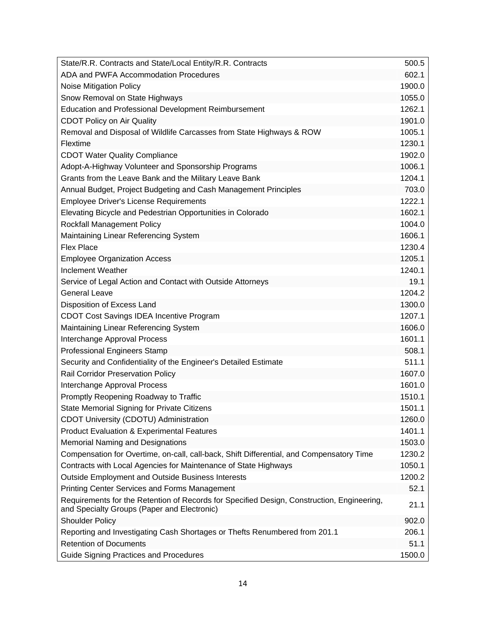| State/R.R. Contracts and State/Local Entity/R.R. Contracts                                                                                | 500.5  |
|-------------------------------------------------------------------------------------------------------------------------------------------|--------|
| ADA and PWFA Accommodation Procedures                                                                                                     | 602.1  |
| <b>Noise Mitigation Policy</b>                                                                                                            | 1900.0 |
| Snow Removal on State Highways                                                                                                            | 1055.0 |
| <b>Education and Professional Development Reimbursement</b>                                                                               | 1262.1 |
| <b>CDOT Policy on Air Quality</b>                                                                                                         | 1901.0 |
| Removal and Disposal of Wildlife Carcasses from State Highways & ROW                                                                      | 1005.1 |
| Flextime                                                                                                                                  | 1230.1 |
| <b>CDOT Water Quality Compliance</b>                                                                                                      | 1902.0 |
| Adopt-A-Highway Volunteer and Sponsorship Programs                                                                                        | 1006.1 |
| Grants from the Leave Bank and the Military Leave Bank                                                                                    | 1204.1 |
| Annual Budget, Project Budgeting and Cash Management Principles                                                                           | 703.0  |
| <b>Employee Driver's License Requirements</b>                                                                                             | 1222.1 |
| Elevating Bicycle and Pedestrian Opportunities in Colorado                                                                                | 1602.1 |
| <b>Rockfall Management Policy</b>                                                                                                         | 1004.0 |
| Maintaining Linear Referencing System                                                                                                     | 1606.1 |
| <b>Flex Place</b>                                                                                                                         | 1230.4 |
| <b>Employee Organization Access</b>                                                                                                       | 1205.1 |
| <b>Inclement Weather</b>                                                                                                                  | 1240.1 |
| Service of Legal Action and Contact with Outside Attorneys                                                                                | 19.1   |
| <b>General Leave</b>                                                                                                                      | 1204.2 |
| Disposition of Excess Land                                                                                                                | 1300.0 |
| CDOT Cost Savings IDEA Incentive Program                                                                                                  | 1207.1 |
| Maintaining Linear Referencing System                                                                                                     | 1606.0 |
| Interchange Approval Process                                                                                                              | 1601.1 |
| <b>Professional Engineers Stamp</b>                                                                                                       | 508.1  |
| Security and Confidentiality of the Engineer's Detailed Estimate                                                                          | 511.1  |
| <b>Rail Corridor Preservation Policy</b>                                                                                                  | 1607.0 |
| Interchange Approval Process                                                                                                              | 1601.0 |
| Promptly Reopening Roadway to Traffic                                                                                                     | 1510.1 |
| State Memorial Signing for Private Citizens                                                                                               | 1501.1 |
| CDOT University (CDOTU) Administration                                                                                                    | 1260.0 |
| <b>Product Evaluation &amp; Experimental Features</b>                                                                                     | 1401.1 |
| <b>Memorial Naming and Designations</b>                                                                                                   | 1503.0 |
| Compensation for Overtime, on-call, call-back, Shift Differential, and Compensatory Time                                                  | 1230.2 |
| Contracts with Local Agencies for Maintenance of State Highways                                                                           | 1050.1 |
| Outside Employment and Outside Business Interests                                                                                         | 1200.2 |
| Printing Center Services and Forms Management                                                                                             | 52.1   |
| Requirements for the Retention of Records for Specified Design, Construction, Engineering,<br>and Specialty Groups (Paper and Electronic) | 21.1   |
| <b>Shoulder Policy</b>                                                                                                                    | 902.0  |
| Reporting and Investigating Cash Shortages or Thefts Renumbered from 201.1                                                                | 206.1  |
| <b>Retention of Documents</b>                                                                                                             | 51.1   |
| <b>Guide Signing Practices and Procedures</b>                                                                                             | 1500.0 |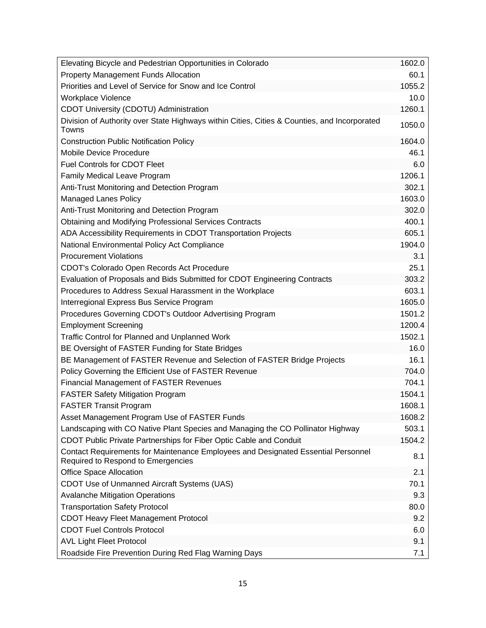| Elevating Bicycle and Pedestrian Opportunities in Colorado                                                              | 1602.0 |
|-------------------------------------------------------------------------------------------------------------------------|--------|
| <b>Property Management Funds Allocation</b>                                                                             | 60.1   |
| Priorities and Level of Service for Snow and Ice Control                                                                | 1055.2 |
| Workplace Violence                                                                                                      | 10.0   |
| CDOT University (CDOTU) Administration                                                                                  | 1260.1 |
| Division of Authority over State Highways within Cities, Cities & Counties, and Incorporated<br>Towns                   | 1050.0 |
| <b>Construction Public Notification Policy</b>                                                                          | 1604.0 |
| <b>Mobile Device Procedure</b>                                                                                          | 46.1   |
| <b>Fuel Controls for CDOT Fleet</b>                                                                                     | 6.0    |
| Family Medical Leave Program                                                                                            | 1206.1 |
| Anti-Trust Monitoring and Detection Program                                                                             | 302.1  |
| <b>Managed Lanes Policy</b>                                                                                             | 1603.0 |
| Anti-Trust Monitoring and Detection Program                                                                             | 302.0  |
| <b>Obtaining and Modifying Professional Services Contracts</b>                                                          | 400.1  |
| ADA Accessibility Requirements in CDOT Transportation Projects                                                          | 605.1  |
| National Environmental Policy Act Compliance                                                                            | 1904.0 |
| <b>Procurement Violations</b>                                                                                           | 3.1    |
| CDOT's Colorado Open Records Act Procedure                                                                              | 25.1   |
| Evaluation of Proposals and Bids Submitted for CDOT Engineering Contracts                                               | 303.2  |
| Procedures to Address Sexual Harassment in the Workplace                                                                | 603.1  |
| Interregional Express Bus Service Program                                                                               | 1605.0 |
| Procedures Governing CDOT's Outdoor Advertising Program                                                                 | 1501.2 |
| <b>Employment Screening</b>                                                                                             | 1200.4 |
| Traffic Control for Planned and Unplanned Work                                                                          | 1502.1 |
| BE Oversight of FASTER Funding for State Bridges                                                                        | 16.0   |
| BE Management of FASTER Revenue and Selection of FASTER Bridge Projects                                                 | 16.1   |
| Policy Governing the Efficient Use of FASTER Revenue                                                                    | 704.0  |
| <b>Financial Management of FASTER Revenues</b>                                                                          | 704.1  |
| <b>FASTER Safety Mitigation Program</b>                                                                                 | 1504.1 |
| <b>FASTER Transit Program</b>                                                                                           | 1608.1 |
| Asset Management Program Use of FASTER Funds                                                                            | 1608.2 |
| Landscaping with CO Native Plant Species and Managing the CO Pollinator Highway                                         | 503.1  |
| CDOT Public Private Partnerships for Fiber Optic Cable and Conduit                                                      | 1504.2 |
| Contact Requirements for Maintenance Employees and Designated Essential Personnel<br>Required to Respond to Emergencies | 8.1    |
| <b>Office Space Allocation</b>                                                                                          | 2.1    |
| CDOT Use of Unmanned Aircraft Systems (UAS)                                                                             | 70.1   |
| <b>Avalanche Mitigation Operations</b>                                                                                  | 9.3    |
| <b>Transportation Safety Protocol</b>                                                                                   | 80.0   |
| CDOT Heavy Fleet Management Protocol                                                                                    | 9.2    |
| <b>CDOT Fuel Controls Protocol</b>                                                                                      | 6.0    |
| <b>AVL Light Fleet Protocol</b>                                                                                         | 9.1    |
| Roadside Fire Prevention During Red Flag Warning Days                                                                   | 7.1    |